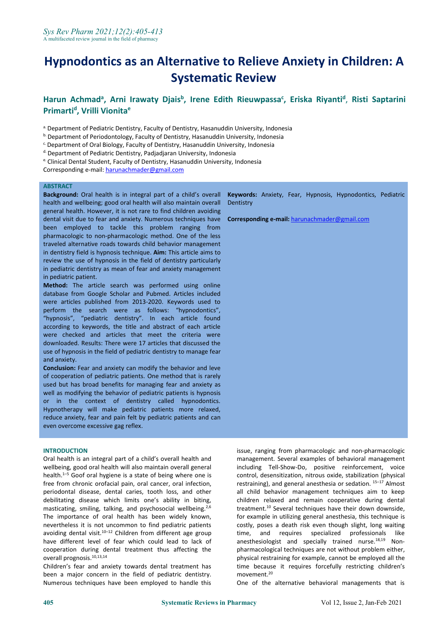# **Hypnodontics as an Alternative to Relieve Anxiety in Children: A Systematic Review**

#### Harun Achmad<sup>a</sup>, Arni Irawaty Djais<sup>b</sup>, Irene Edith Rieuwpassa<sup>c</sup>, Eriska Riyanti<sup>d</sup>, Risti Saptarini **Primarti<sup>d</sup> , Vrilli Vionita e**

a. Department of Pediatric Dentistry, Faculty of Dentistry, Hasanuddin University, Indonesia

b. Department of Periodontology, Faculty of Dentistry, Hasanuddin University, Indonesia

c.Department of Oral Biology, Faculty of Dentistry, Hasanuddin University, Indonesia

d. Department of Pediatric Dentistry, Padjadjaran University, Indonesia

e. Clinical Dental Student, Faculty of Dentistry, Hasanuddin University, Indonesia

Corresponding e-mail: [harunachmader@gmail.com](mailto:harunachmader@gmail.com)

#### **ABSTRACT**

**Background:** Oral health is in integral part of a child's overall health and wellbeing; good oral health will also maintain overall general health. However, it is not rare to find children avoiding dental visit due to fear and anxiety. Numerous techniques have been employed to tackle this problem ranging from pharmacologic to non-pharmacologic method. One of the less traveled alternative roads towards child behavior management in dentistry field is hypnosis technique. **Aim:** This article aims to review the use of hypnosis in the field of dentistry particularly in pediatric dentistry as mean of fear and anxiety management in pediatric patient.

**Method:** The article search was performed using online database from Google Scholar and Pubmed. Articles included were articles published from 2013-2020. Keywords used to perform the search were as follows: "hypnodontics", "hypnosis", "pediatric dentistry". In each article found according to keywords, the title and abstract of each article were checked and articles that meet the criteria were downloaded. Results: There were 17 articles that discussed the use of hypnosis in the field of pediatric dentistry to manage fear and anxiety.

**Conclusion:** Fear and anxiety can modify the behavior and leve of cooperation of pediatric patients. One method that is rarely used but has broad benefits for managing fear and anxiety as well as modifying the behavior of pediatric patients is hypnosis or in the context of dentistry called hypnodontics. Hypnotherapy will make pediatric patients more relaxed, reduce anxiety, fear and pain felt by pediatric patients and can even overcome excessive gag reflex.

#### **INTRODUCTION**

Oral health is an integral part of a child's overall health and wellbeing, good oral health will also maintain overall general health. $1-5$  Goof oral hygiene is a state of being where one is free from chronic orofacial pain, oral cancer, oral infection, periodontal disease, dental caries, tooth loss, and other debilitating disease which limits one's ability in biting, masticating, smiling, talking, and psychosocial wellbeing.<sup>2,6</sup> The importance of oral health has been widely known, nevertheless it is not uncommon to find pediatric patients avoiding dental visit. $10-12$  Children from different age group have different level of fear which could lead to lack of cooperation during dental treatment thus affecting the overall prognosis.10,13,14

Children's fear and anxiety towards dental treatment has been a major concern in the field of pediatric dentistry. Numerous techniques have been employed to handle this

**Keywords:** Anxiety, Fear, Hypnosis, Hypnodontics, Pediatric **Dentistry** 

**Corresponding e-mail:** [harunachmader@gmail.com](mailto:harunachmader@gmail.com)

issue, ranging from pharmacologic and non-pharmacologic management. Several examples of behavioral management including Tell-Show-Do, positive reinforcement, voice control, desensitization, nitrous oxide, stabilization (physical restraining), and general anesthesia or sedation. 15-17 Almost all child behavior management techniques aim to keep children relaxed and remain cooperative during dental treatment.<sup>10</sup> Several techniques have their down downside, for example in utilizing general anesthesia, this technique is costly, poses a death risk even though slight, long waiting time, and requires specialized professionals like anesthesiologist and specially trained nurse.<sup>18,19</sup> Nonpharmacological techniques are not without problem either, physical restraining for example, cannot be employed all the time because it requires forcefully restricting children's movement.<sup>20</sup>

One of the alternative behavioral managements that is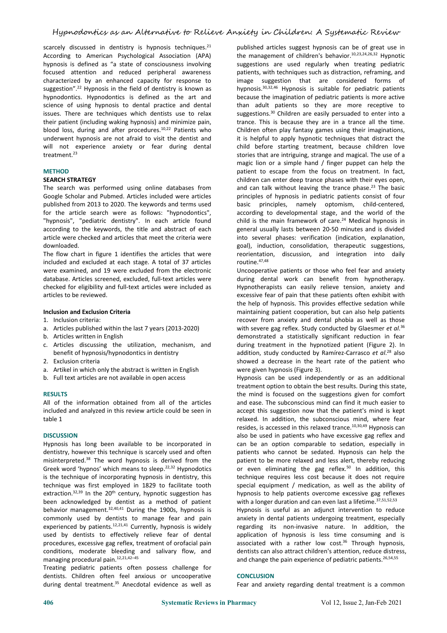scarcely discussed in dentistry is hypnosis techniques. $21$ According to American Psychological Association (APA) hypnosis is defined as "a state of consciousness involving focused attention and reduced peripheral awareness characterized by an enhanced capacity for response to suggestion".<sup>22</sup> Hypnosis in the field of dentistry is known as hypnodontics. Hypnodontics is defined as the art and science of using hypnosis to dental practice and dental issues. There are techniques which dentists use to relax their patient (including waking hypnosis) and minimize pain, blood loss, during and after procedures.<sup>10,22</sup> Patients who underwent hypnosis are not afraid to visit the dentist and will not experience anxiety or fear during dental treatment.<sup>23</sup>

### **METHOD**

#### **SEARCH STRATEGY**

The search was performed using online databases from Google Scholar and Pubmed. Articles included were articles published from 2013 to 2020. The keywords and terms used for the article search were as follows: "hypnodontics", "hypnosis", "pediatric dentistry". In each article found according to the keywords, the title and abstract of each article were checked and articles that meet the criteria were downloaded.

The flow chart in figure 1 identifies the articles that were included and excluded at each stage. A total of 37 articles were examined, and 19 were excluded from the electronic database. Articles screened, excluded, full-text articles were checked for eligibility and full-text articles were included as articles to be reviewed.

#### **Inclusion and Exclusion Criteria**

- 1. Inclusion criteria:
- a. Articles published within the last 7 years (2013-2020)
- b. Articles written in English
- c. Articles discussing the utilization, mechanism, and benefit of hypnosis/hypnodontics in dentistry
- 2. Exclusion criteria
- a. Artikel in which only the abstract is written in English
- b. Full text articles are not available in open access

#### **RESULTS**

All of the information obtained from all of the articles included and analyzed in this review article could be seen in table 1

#### **DISCUSSION**

Hypnosis has long been available to be incorporated in dentistry, however this technique is scarcely used and often misinterpreted.<sup>38</sup> The word hypnosis is derived from the Greek word 'hypnos' which means to sleep.<sup>22,32</sup> Hypnodotics is the technique of incorporating hypnosis in dentistry, this technique was first employed in 1829 to facilitate tooth extraction.<sup>32,39</sup> In the 20<sup>th</sup> century, hypnotic suggestion has hypnosis to been acknowledged by dentist as a method of patient behavior management. $32,40,41$  During the 1900s, hypnosis is commonly used by dentists to manage fear and pain experienced by patients.<sup>12,21,41</sup> Currently, hypnosis is widely used by dentists to effectively relieve fear of dental procedures, excessive gag reflex, treatment of orofacial pain conditions, moderate bleeding and salivary flow, and managing procedural pain.<sup>12,21,42-45</sup>

Treating pediatric patients often possess challenge for dentists. Children often feel anxious or uncooperative during dental treatment.<sup>35</sup> Anecdotal evidence as well as

published articles suggest hypnosis can be of great use in the management of children's behavior.<sup>10,23,24,26,32</sup> Hypnotic suggestions are used regularly when treating pediatric patients, with techniques such as distraction, reframing, and image suggestion that are considered forms of hypnosis.<sup>30,32,46</sup> Hypnosis is suitable for pediatric patients because the imagination of pediatric patients is more active than adult patients so they are more receptive to suggestions.<sup>30</sup> Children are easily persuaded to enter into a trance. This is because they are in a trance all the time. Children often play fantasy games using their imaginations, it is helpful to apply hypnotic techniques that distract the child before starting treatment, because children love stories that are intriguing, strange and magical. The use of a magic lion or a simple hand / finger puppet can help the patient to escape from the focus on treatment. In fact, children can enter deep trance phases with their eyes open, and can talk without leaving the trance phase.<sup>23</sup> The basic principles of hypnosis in pediatric patients consist of four basic principles, namely optomism, child-centered, according to developmental stage, and the world of the child is the main framework of care. $24$  Medical hypnosis in general usually lasts between 20-50 minutes and is divided into several phases: verification (indication, explanation, goal), induction, consolidation, therapeutic suggestions, reorientation, discussion, and integration into daily routine.47,48

Uncooperative patients or those who feel fear and anxiety during dental work can benefit from hypnotherapy. Hypnotherapists can easily relieve tension, anxiety and excessive fear of pain that these patients often exhibit with the help of hypnosis. This provides effective sedation while maintaining patient cooperation, but can also help patients recover from anxiety and dental phobia as well as those with severe gag reflex. Study conducted by Glaesmer *et al*.<sup>36</sup> demonstrated a statistically significant reduction in fear during treatment in the hypnotized patient (Figure 2). In addition, study conducted by Ramírez-Carrasco *et al*.<sup>28</sup> also showed a decrease in the heart rate of the patient who were given hypnosis (Figure 3).

Hypnosis can be used independently or as an additional treatment option to obtain the best results. During this state, the mind is focused on the suggestions given for comfort and ease. The subconscious mind can find it much easier to accept this suggestion now that the patient's mind is kept relaxed. In addition, the subconscious mind, where fear resides, is accessed in this relaxed trance.<sup>10,30,49</sup> Hypnosis can also be used in patients who have excessive gag reflex and can be an option comparable to sedation, especially in patients who cannot be sedated. Hypnosis can help the patient to be more relaxed and less alert, thereby reducing or even eliminating the gag reflex.<sup>50</sup> In addition, this technique requires less cost because it does not require special equipment / medication, as well as the ability of hypnosis to help patients overcome excessive gag reflexes with a longer duration and can even last a lifetime.<sup>37,51,52,53</sup>

Hypnosis is useful as an adjunct intervention to reduce anxiety in dental patients undergoing treatment, especially regarding its non-invasive nature. In addition, the application of hypnosis is less time consuming and is associated with a rather low  $cost.^{36}$  Through hypnosis, dentists can also attract children's attention, reduce distress, and change the pain experience of pediatric patients.<sup>26,54,55</sup>

#### **CONCLUSION**

Fear and anxiety regarding dental treatment is a common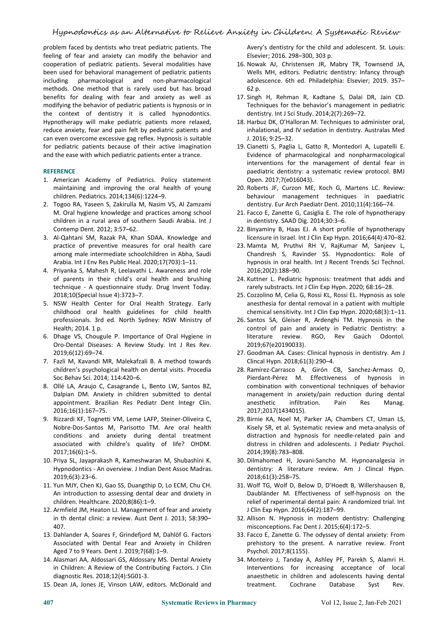problem faced by dentists who treat pediatric patients. The feeling of fear and anxiety can modify the behavior and cooperation of pediatric patients. Several modalities have been used for behavioral management of pediatric patients including pharmacological and non-pharmacological methods. One method that is rarely used but has broad benefits for dealing with fear and anxiety as well as modifying the behavior of pediatric patients is hypnosis or in the context of dentistry it is called hypnodontics. Hypnotherapy will make pediatric patients more relaxed, reduce anxiety, fear and pain felt by pediatric patients and can even overcome excessive gag reflex. Hypnosis is suitable for pediatric patients because of their active imagination and the ease with which pediatric patients enter a trance.

## **REFERENCE**

- 1. American Academy of Pediatrics. Policy statement maintaining and improving the oral health of young children. Pediatrics. 2014;134(6):1224–9.
- 2. Togoo RA, Yaseen S, Zakirulla M, Nasim VS, Al Zamzami M. Oral hygiene knowledge and practices among school children in a rural area of southern Saudi Arabia. Int J Contemp Dent. 2012; 3:57–62.
- 3. Al-Qahtani SM, Razak PA, Khan SDAA. Knowledge and practice of preventive measures for oral health care among male intermediate schoolchildren in Abha, Saudi Arabia. Int J Env Res Public Heal. 2020;17(703):1–11.
- 4. Priyanka S, Mahesh R, Leelavathi L. Awareness and role of parents in their child's oral health and brushing technique - A questionnaire study. Drug Invent Today. 2018;10(Special Issue 4):3723–7.
- 5. NSW Health Center for Oral Health Strategy. Early childhood oral health guidelines for child health professionals. 3rd ed. North Sydney: NSW Ministry of Health; 2014. 1 p.
- 6. Dhage VS, Chougule P. Importance of Oral Hygiene in Oro-Dental Diseases: A Review Study. Int J Res Rev. 2019;6(12):69–74.
- 7. Fazli M, Kavandi MR, Malekafzali B. A method towards children's psychological health on dental visits. Procedia Soc Behav Sci. 2014; 114:420–6.
- 8. Ollé LA, Araujo C, Casagrande L, Bento LW, Santos BZ, Dalpian DM. Anxiety in children submitted to dental appointment. Brazilian Res Pediatr Dent Integr Clin. 2016;16(1):167–75.
- 9. Rizzardi KF, Tognetti VM, Leme LAFP, Steiner-Oliveira C, Nobre-Dos-Santos M, Parisotto TM. Are oral health conditions and anxiety during dental treatment associated with childre's quality of life? OHDM. 2017;16(6):1–5.
- 10. Priya SL, Jayaprakash R, Kameshwaran M, Shubashini K. Hypnodontics - An overview. J Indian Dent Assoc Madras. 2019;6(3):23–6.
- 11. Yun MJY, Chen KJ, Gao SS, Duangthip D, Lo ECM, Chu CH. An introduction to assessing dental dear and dnxiety in children. Healthcare. 2020;8(86):1–9.
- 12. Armfield JM, Heaton LJ. Management of fear and anxiety in th dental clinic: a review. Aust Dent J. 2013; 58:390– 407.
- 13. Dahlander A, Soares F, Grindefjord M, Dahlöf G. Factors Associated with Dental Fear and Anxiety in Children Aged 7 to 9 Years. Dent J. 2019;7(68):1–9.
- 14. Alasmari AA, Aldossari GS, Aldossary MS. Dental Anxiety in Children: A Review of the Contributing Factors. J Clin diagnostic Res. 2018;12(4):SG01-3.
- 15. Dean JA, Jones JE, Vinson LAW, editors. McDonald and

Avery's dentistry for the child and adolescent. St. Louis: Elsevier; 2016. 298–300, 303 p.

- 16. Nowak AJ, Christensen JR, Mabry TR, Townsend JA, Wells MH, editors. Pediatric dentistry: Infancy through adolescence. 6th ed. Philadelphia: Elsevier; 2019. 357– 62 p.
- 17. Singh H, Rehman R, Kadtane S, Dalai DR, Jain CD. Techniques for the behavior's management in pediatric dentistry. Int J Sci Study. 2014;2(7):269–72.
- 18. Harbuz DK, O'Halloran M. Techniques to administer oral, inhalational, and IV sedation in dentistry. Australas Med J. 2016; 9:25–32.
- 19. Cianetti S, Paglia L, Gatto R, Montedori A, Lupatelli E. Evidence of pharmacological and nonpharmacological interventions for the management of dental fear in paediatric dentistry: a systematic review protocol. BMJ Open. 2017;7(e016043).
- 20. Roberts JF, Curzon ME, Koch G, Martens LC. Review: behaviour management techniques in paediatric dentistry. Eur Arch Paediatr Dent. 2010;11(4):166–74.
- 21. Facco E, Zanette G, Casiglia E. The role of hypnotherapy in dentistry. SAAD Dig. 2014;30:3–6.
- 22. Binyaminy B, Haas EJ. A short profile of hypnotherapy licensure in Israel. Int J Clin Exp Hypn. 2016;64(4):470–82.
- 23. Mamta M, Pruthvi RH V, RajKumar M, Sanjeev L, Chandresh S, Ravinder SS. Hypnodontics: Role of hypnosis in oral health. Int J Recent Trends Sci Technol. 2016;20(2):188–90.
- 24. Kuttner L. Pediatric hypnosis: treatment that adds and rarely substracts. Int J Clin Exp Hypn. 2020; 68:16–28.
- 25. Cozzolino M, Celia G, Rossi KL, Rossi EL. Hypnosis as sole anesthesia for dental removal in a patient with multiple chemical sensitivity. Int J Clin Exp Hypn. 2020;68(3):1–11.
- 26. Santos SA, Gleiser R, Ardenghi TM. Hypnosis in the control of pain and anxiety in Pediatric Dentistry: a literature review. RGO, Rev Gaúch Odontol. 2019;67(e20190033).
- 27. Goodman AA. Cases: Clinical hypnosis in dentistry. Am J Clincal Hypn. 2018;61(3):290–4.
- 28. Ramírez-Carrasco A, Girón CB, Sanchez-Armass O, Pierdant-Pérez M. Effectiveness of hypnosis in combination with conventional techniques of behavior management in anxiety/pain reduction during dental anesthetic infiltration. Pain Res Manag. 2017;2017(1434015).
- 29. Birnie KA, Noel M, Parker JA, Chambers CT, Uman LS, Kisely SR, et al. Systematic review and meta-analysis of distraction and hypnosis for needle-related pain and distress in children and adolescents. J Pediatr Psychol. 2014;39(8):783–808.
- 30. Dilmahomed H, Jovani-Sancho M. Hypnoanalgesia in dentistry: A literature review. Am J Clincal Hypn. 2018;61(3):258–75.
- 31. Wolf TG, Wolf D, Below D, D'Hoedt B, Willershausen B, Daubländer M. Effectiveness of self-hypnosis on the relief of rxperimental dental pain: A randomized trial. Int J Clin Exp Hypn. 2016;64(2):187–99.
- 32. Allison N. Hypnosis in modern dentistry: Challenging misconceptions. Fac Dent J. 2015;6(4):172–5.
- 33. Facco E, Zanette G. The odyssey of dental anxiety: From prehistory to the present. A narrative review. Front Psychol. 2017;8(1155).
- 34. Monteiro J, Tanday A, Ashley PF, Parekh S, Alamri H. Interventions for increasing acceptance of local anaesthetic in children and adolescents having dental treatment. Cochrane Database Syst Rev.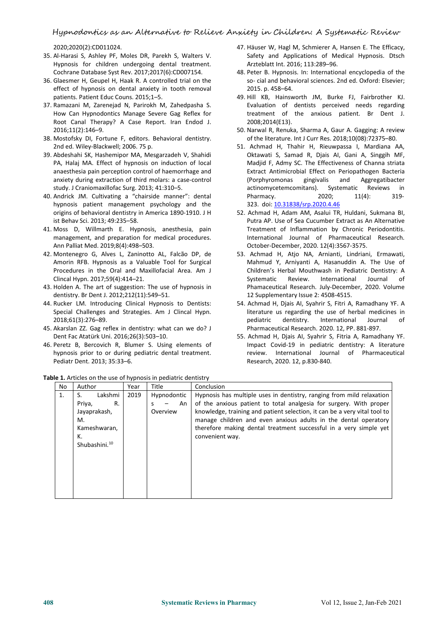## Hypnodontics as an Alternative to Relieve Anxiety in Children: A Systematic Review

2020;2020(2):CD011024.

- 35. Al-Harasi S, Ashley PF, Moles DR, Parekh S, Walters V. Hypnosis for children undergoing dental treatment. Cochrane Database Syst Rev. 2017;2017(6):CD007154.
- 36. Glaesmer H, Geupel H, Haak R. A controlled trial on the effect of hypnosis on dental anxiety in tooth removal patients. Patient Educ Couns. 2015;1–5.
- 37. Ramazani M, Zarenejad N, Parirokh M, Zahedpasha S. How Can Hypnodontics Manage Severe Gag Reflex for<br>Root Canal Therapy? A Case Report. Iran Endod J. 2016;11(2):146–9.
- 38. Mostofsky DI, Fortune F, editors. Behavioral dentistry. 2nd ed. Wiley-Blackwell; 2006. 75 p.
- 39. Abdeshahi SK, Hashemipor MA, Mesgarzadeh V, Shahidi PA, Halaj MA. Effect of hypnosis on induction of local anaesthesia pain perception control of haemorrhage and anxiety during extraction of third molars: a case-control study. J Craniomaxillofac Surg. 2013; 41:310–5.
- 40. Andrick JM. Cultivating a "chairside manner": dental hypnosis patient management psychology and the origins of behavioral dentistry in America 1890-1910. J H ist Behav Sci. 2013; 49:235–58.
- 41. Moss D, Willmarth E. Hypnosis, anesthesia, pain management, and preparation for medical procedures. Ann Palliat Med. 2019;8(4):498–503.
- 42. Montenegro G, Alves L, Zaninotto AL, Falcão DP, de Amorin RFB. Hypnosis as a Valuable Tool for Surgical Procedures in the Oral and Maxillofacial Area. Am J Clincal Hypn. 2017;59(4):414–21.
- 43. Holden A. The art of suggestion: The use of hypnosis in dentistry. Br Dent J. 2012;212(11):549–51.
- 44. Rucker LM. Introducing Clinical Hypnosis to Dentists: Special Challenges and Strategies. Am J Clincal Hypn. 2018;61(3):276–89.
- 45. Akarslan ZZ. Gag reflex in dentistry: what can we do? J Dent Fac Atatürk Uni. 2016;26(3):503–10.
- 46. Peretz B, Bercovich R, Blumer S. Using elements of hypnosis prior to or during pediatric dental treatment. Pediatr Dent. 2013; 35:33–6.
- 47. Häuser W, Hagl M, Schmierer A, Hansen E. The Efficacy, Safety and Applications of Medical Hypnosis. Dtsch Ärzteblatt Int. 2016; 113:289–96.
- 48. Peter B. Hypnosis. In: International encyclopedia of the so- cial and behavioral sciences. 2nd ed. Oxford: Elsevier; 2015. p. 458–64.
- 49. Hill KB, Hainsworth JM, Burke FJ, Fairbrother KJ. Evaluation of dentists perceived needs regarding treatment of the anxious patient. Br Dent J. 2008;2014(E13).
- 50. Narwal R, Renuka, Sharma A, Gaur A. Gagging: A review of the literature. Int J Curr Res. 2018;10(08):72375–80.
- 51. Achmad H, Thahir H, Rieuwpassa I, Mardiana AA, Oktawati S, Samad R, Djais AI, Gani A, Singgih MF, Madjid F, Admy SC. The Effectiveness of Channa striata Extract Antimicrobial Effect on Periopathogen Bacteria (Porphyromonas gingivalis and Aggregatibacter actinomycetemcomitans). Systematic Reviews in Pharmacy. 2020; 11(4): 319-323. doi: [10.31838/srp.2020.4.46](http://dx.doi.org/10.31838/srp.2020.4.46)
- 52. Achmad H, Adam AM, Asalui TR, Huldani, Sukmana BI, Putra AP. Use of Sea Cucumber Extract as An Alternative Treatment of Inflammation by Chronic Periodontitis. International Journal of Pharmaceutical Research. October-December, 2020. 12(4):3567-3575.
- 53. Achmad H, Atjo NA, Arnianti, Lindriani, Ermawati, Mahmud Y, Arniyanti A, Hasanuddin A. The Use of Children's Herbal Mouthwash in Pediatric Dentistry: A Systematic Review. International Journal of Phamaceutical Research. July-December, 2020. Volume 12 Supplementary Issue 2: 4508-4515.
- 54. Achmad H, Djais AI, Syahrir S, Fitri A, Ramadhany YF. A literature us regarding the use of herbal medicines in pediatric dentistry. International Journal of Pharmaceutical Research. 2020. 12, PP. 881-897.
- 55. Achmad H, Djais AI, Syahrir S, Fitria A, Ramadhany YF. Impact Covid-19 in pediatric dentistry: A literature review. International Journal of Pharmaceutical Research, 2020. 12, p.830-840.

| No | Author                    | Year | Title       | Conclusion                                                                |
|----|---------------------------|------|-------------|---------------------------------------------------------------------------|
| 1. | Lakshmi                   | 2019 | Hypnodontic | Hypnosis has multiple uses in dentistry, ranging from mild relaxation     |
|    | R.<br>Priya,              |      | An<br>-     | of the anxious patient to total analgesia for surgery. With proper        |
|    | Jayaprakash,              |      | Overview    | knowledge, training and patient selection, it can be a very vital tool to |
|    | М.                        |      |             | manage children and even anxious adults in the dental operatory           |
|    | Kameshwaran,              |      |             | therefore making dental treatment successful in a very simple yet         |
|    | Κ.                        |      |             | convenient way.                                                           |
|    | Shubashini. <sup>10</sup> |      |             |                                                                           |
|    |                           |      |             |                                                                           |
|    |                           |      |             |                                                                           |
|    |                           |      |             |                                                                           |
|    |                           |      |             |                                                                           |
|    |                           |      |             |                                                                           |
|    |                           |      |             |                                                                           |

**Table 1.** Articles on the use of hypnosis in pediatric dentistry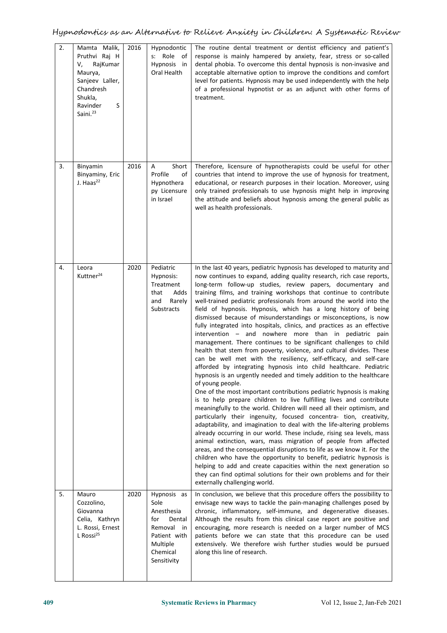| 2. | Mamta Malik,<br>Pruthvi Raj H<br>RajKumar<br>V,<br>Maurya,<br>Sanjeev Laller,<br>Chandresh<br>Shukla,<br>Ravinder<br>S<br>Saini. <sup>23</sup> | 2016 | Hypnodontic<br>s: Role of<br>Hypnosis in<br>Oral Health                                                                 | The routine dental treatment or dentist efficiency and patient's<br>response is mainly hampered by anxiety, fear, stress or so-called<br>dental phobia. To overcome this dental hypnosis is non-invasive and<br>acceptable alternative option to improve the conditions and comfort<br>level for patients. Hypnosis may be used independently with the help<br>of a professional hypnotist or as an adjunct with other forms of<br>treatment.                                                                                                                                                                                                                                                                                                                                                                                                                                                                                                                                                                                                                                                                                                                                                                                                                                                                                                                                                                                                                                                                                                                                                                                                                                                                                                                                                                                                                                 |
|----|------------------------------------------------------------------------------------------------------------------------------------------------|------|-------------------------------------------------------------------------------------------------------------------------|-------------------------------------------------------------------------------------------------------------------------------------------------------------------------------------------------------------------------------------------------------------------------------------------------------------------------------------------------------------------------------------------------------------------------------------------------------------------------------------------------------------------------------------------------------------------------------------------------------------------------------------------------------------------------------------------------------------------------------------------------------------------------------------------------------------------------------------------------------------------------------------------------------------------------------------------------------------------------------------------------------------------------------------------------------------------------------------------------------------------------------------------------------------------------------------------------------------------------------------------------------------------------------------------------------------------------------------------------------------------------------------------------------------------------------------------------------------------------------------------------------------------------------------------------------------------------------------------------------------------------------------------------------------------------------------------------------------------------------------------------------------------------------------------------------------------------------------------------------------------------------|
| 3. | Binyamin<br>Binyaminy, Eric<br>J. Haas $^{22}$                                                                                                 | 2016 | Short<br>Α<br>Profile<br>of<br>Hypnothera<br>py Licensure<br>in Israel                                                  | Therefore, licensure of hypnotherapists could be useful for other<br>countries that intend to improve the use of hypnosis for treatment,<br>educational, or research purposes in their location. Moreover, using<br>only trained professionals to use hypnosis might help in improving<br>the attitude and beliefs about hypnosis among the general public as<br>well as health professionals.                                                                                                                                                                                                                                                                                                                                                                                                                                                                                                                                                                                                                                                                                                                                                                                                                                                                                                                                                                                                                                                                                                                                                                                                                                                                                                                                                                                                                                                                                |
| 4. | Leora<br>Kuttner <sup>24</sup>                                                                                                                 | 2020 | Pediatric<br>Hypnosis:<br>Treatment<br>Adds<br>that<br>and<br>Rarely<br>Substracts                                      | In the last 40 years, pediatric hypnosis has developed to maturity and<br>now continues to expand, adding quality research, rich case reports,<br>long-term follow-up studies, review papers, documentary and<br>training films, and training workshops that continue to contribute<br>well-trained pediatric professionals from around the world into the<br>field of hypnosis. Hypnosis, which has a long history of being<br>dismissed because of misunderstandings or misconceptions, is now<br>fully integrated into hospitals, clinics, and practices as an effective<br>intervention - and nowhere more than in pediatric pain<br>management. There continues to be significant challenges to child<br>health that stem from poverty, violence, and cultural divides. These<br>can be well met with the resiliency, self-efficacy, and self-care<br>afforded by integrating hypnosis into child healthcare. Pediatric<br>hypnosis is an urgently needed and timely addition to the healthcare<br>of young people.<br>One of the most important contributions pediatric hypnosis is making<br>is to help prepare children to live fulfilling lives and contribute<br>meaningfully to the world. Children will need all their optimism, and<br>particularly their ingenuity, focused concentra- tion, creativity,<br>adaptability, and imagination to deal with the life-altering problems<br>already occurring in our world. These include, rising sea levels, mass<br>animal extinction, wars, mass migration of people from affected<br>areas, and the consequential disruptions to life as we know it. For the<br>children who have the opportunity to benefit, pediatric hypnosis is<br>helping to add and create capacities within the next generation so<br>they can find optimal solutions for their own problems and for their<br>externally challenging world. |
| 5. | Mauro<br>Cozzolino,<br>Giovanna<br>Celia, Kathryn<br>L. Rossi, Ernest<br>L Rossi <sup>25</sup>                                                 | 2020 | Hypnosis as<br>Sole<br>Anesthesia<br>Dental<br>for<br>Removal in<br>Patient with<br>Multiple<br>Chemical<br>Sensitivity | In conclusion, we believe that this procedure offers the possibility to<br>envisage new ways to tackle the pain-managing challenges posed by<br>chronic, inflammatory, self-immune, and degenerative diseases.<br>Although the results from this clinical case report are positive and<br>encouraging, more research is needed on a larger number of MCS<br>patients before we can state that this procedure can be used<br>extensively. We therefore wish further studies would be pursued<br>along this line of research.                                                                                                                                                                                                                                                                                                                                                                                                                                                                                                                                                                                                                                                                                                                                                                                                                                                                                                                                                                                                                                                                                                                                                                                                                                                                                                                                                   |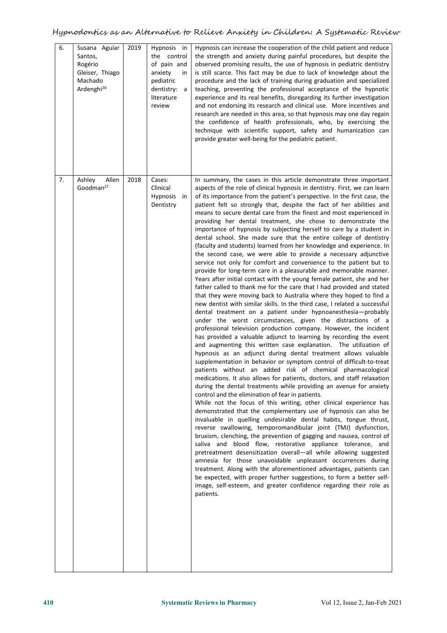| review<br>and not endorsing its research and clinical use. More incentives and<br>research are needed in this area, so that hypnosis may one day regain<br>the confidence of health professionals, who, by exercising the<br>technique with scientific support, safety and humanization can<br>provide greater well-being for the pediatric patient.                                                                                                                                                                                                                                                                                                                                                                                                                                                                                                                                                                                                                                                                                                                                                                                                                                                                                                                                                                                                                                                                                                                                                                                                                                                                                                                                                                                                                                                                                                                                                                                                                                                                                                                                                                                                                                                                                                                                                                                                                                                                                                                                                                                                                                                                                                                                                                                                                                                                                           |  |
|------------------------------------------------------------------------------------------------------------------------------------------------------------------------------------------------------------------------------------------------------------------------------------------------------------------------------------------------------------------------------------------------------------------------------------------------------------------------------------------------------------------------------------------------------------------------------------------------------------------------------------------------------------------------------------------------------------------------------------------------------------------------------------------------------------------------------------------------------------------------------------------------------------------------------------------------------------------------------------------------------------------------------------------------------------------------------------------------------------------------------------------------------------------------------------------------------------------------------------------------------------------------------------------------------------------------------------------------------------------------------------------------------------------------------------------------------------------------------------------------------------------------------------------------------------------------------------------------------------------------------------------------------------------------------------------------------------------------------------------------------------------------------------------------------------------------------------------------------------------------------------------------------------------------------------------------------------------------------------------------------------------------------------------------------------------------------------------------------------------------------------------------------------------------------------------------------------------------------------------------------------------------------------------------------------------------------------------------------------------------------------------------------------------------------------------------------------------------------------------------------------------------------------------------------------------------------------------------------------------------------------------------------------------------------------------------------------------------------------------------------------------------------------------------------------------------------------------------|--|
| Allen<br>Ashley<br>2018<br>Cases:<br>In summary, the cases in this article demonstrate three important<br>Goodman <sup>27</sup><br>Clinical<br>aspects of the role of clinical hypnosis in dentistry. First, we can learn<br>of its importance from the patient's perspective. In the first case, the<br>Hypnosis in<br>Dentistry<br>patient felt so strongly that, despite the fact of her abilities and<br>means to secure dental care from the finest and most experienced in<br>providing her dental treatment, she chose to demonstrate the<br>importance of hypnosis by subjecting herself to care by a student in<br>dental school. She made sure that the entire college of dentistry<br>(faculty and students) learned from her knowledge and experience. In<br>the second case, we were able to provide a necessary adjunctive<br>service not only for comfort and convenience to the patient but to<br>provide for long-term care in a pleasurable and memorable manner.<br>Years after initial contact with the young female patient, she and her<br>father called to thank me for the care that I had provided and stated<br>that they were moving back to Australia where they hoped to find a<br>new dentist with similar skills. In the third case, I related a successful<br>dental treatment on a patient under hypnoanesthesia-probably<br>under the worst circumstances, given the distractions of a<br>professional television production company. However, the incident<br>has provided a valuable adjunct to learning by recording the event<br>and augmenting this written case explanation. The utilization of<br>hypnosis as an adjunct during dental treatment allows valuable<br>supplementation in behavior or symptom control of difficult-to-treat<br>patients without an added risk of chemical pharmacological<br>medications. It also allows for patients, doctors, and staff relaxation<br>during the dental treatments while providing an avenue for anxiety<br>control and the elimination of fear in patients.<br>While not the focus of this writing, other clinical experience has<br>demonstrated that the complementary use of hypnosis can also be<br>invaluable in quelling undesirable dental habits, tongue thrust,<br>reverse swallowing, temporomandibular joint (TMJ) dysfunction,<br>bruxism, clenching, the prevention of gagging and nausea, control of<br>saliva and blood flow, restorative appliance tolerance, and<br>pretreatment desensitization overall-all while allowing suggested<br>amnesia for those unavoidable unpleasant occurrences during<br>treatment. Along with the aforementioned advantages, patients can<br>be expected, with proper further suggestions, to form a better self-<br>image, self-esteem, and greater confidence regarding their role as<br>patients. |  |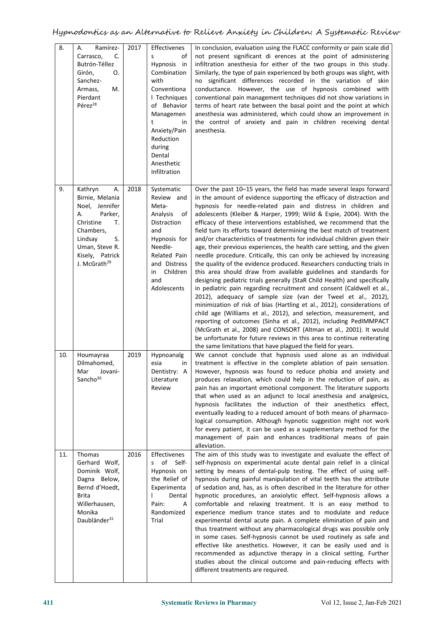| 8.  | Ramírez-<br>Α.<br>Carrasco,<br>C.<br>Butrón-Téllez<br>Girón,<br>О.<br>Sanchez-<br>Armass,<br>M.<br>Pierdant<br>Pérez <sup>28</sup>                                                    | 2017 | Effectivenes<br>s<br>οf<br>Hypnosis<br>in<br>Combination<br>with<br>Conventiona<br>I Techniques<br>of Behavior<br>Managemen<br>t<br>in<br>Anxiety/Pain<br>Reduction<br>during<br>Dental<br>Anesthetic<br>Infiltration | In conclusion, evaluation using the FLACC conformity or pain scale did<br>not present significant di erences at the point of administering<br>infiltration anesthesia for either of the two groups in this study.<br>Similarly, the type of pain experienced by both groups was slight, with<br>no significant differences recorded in the variation of skin<br>conductance. However, the use of hypnosis combined with<br>conventional pain management techniques did not show variations in<br>terms of heart rate between the basal point and the point at which<br>anesthesia was administered, which could show an improvement in<br>the control of anxiety and pain in children receiving dental<br>anesthesia.                                                                                                                                                                                                                                                                                                                                                                                                                                                                                                                                                                                                                                                                                                                                                      |  |
|-----|---------------------------------------------------------------------------------------------------------------------------------------------------------------------------------------|------|-----------------------------------------------------------------------------------------------------------------------------------------------------------------------------------------------------------------------|----------------------------------------------------------------------------------------------------------------------------------------------------------------------------------------------------------------------------------------------------------------------------------------------------------------------------------------------------------------------------------------------------------------------------------------------------------------------------------------------------------------------------------------------------------------------------------------------------------------------------------------------------------------------------------------------------------------------------------------------------------------------------------------------------------------------------------------------------------------------------------------------------------------------------------------------------------------------------------------------------------------------------------------------------------------------------------------------------------------------------------------------------------------------------------------------------------------------------------------------------------------------------------------------------------------------------------------------------------------------------------------------------------------------------------------------------------------------------|--|
| 9.  | Kathryn<br>А.<br>Birnie, Melania<br>Noel, Jennifer<br>Parker,<br>А.<br>Christine<br>т.<br>Chambers,<br>Lindsay<br>S.<br>Uman, Steve R.<br>Kisely, Patrick<br>J. McGrath <sup>29</sup> | 2018 | Systematic<br>Review and<br>Meta-<br>Analysis<br>of<br>Distraction<br>and<br>Hypnosis for<br>Needle-<br>Related Pain<br>and Distress<br>Children<br>in<br>and<br>Adolescents                                          | Over the past 10-15 years, the field has made several leaps forward<br>in the amount of evidence supporting the efficacy of distraction and<br>hypnosis for needle-related pain and distress in children and<br>adolescents (Kleiber & Harper, 1999; Wild & Espie, 2004). With the<br>efficacy of these interventions established, we recommend that the<br>field turn its efforts toward determining the best match of treatment<br>and/or characteristics of treatments for individual children given their<br>age, their previous experiences, the health care setting, and the given<br>needle procedure. Critically, this can only be achieved by increasing<br>the quality of the evidence produced. Researchers conducting trials in<br>this area should draw from available guidelines and standards for<br>designing pediatric trials generally (StaR Child Health) and specifically<br>in pediatric pain regarding recruitment and consent (Caldwell et al.,<br>2012), adequacy of sample size (van der Tweel et al., 2012),<br>minimization of risk of bias (Hartling et al., 2012), considerations of<br>child age (Williams et al., 2012), and selection, measurement, and<br>reporting of outcomes (Sinha et al., 2012), including PedIMMPACT<br>(McGrath et al., 2008) and CONSORT (Altman et al., 2001). It would<br>be unfortunate for future reviews in this area to continue reiterating<br>the same limitations that have plagued the field for years. |  |
| 10. | Houmayraa<br>Dilmahomed,<br>Mar<br>Jovani-<br>Sancho $30$                                                                                                                             | 2019 | Hypnoanalg<br>esia<br>in<br>Dentistry: A<br>Literature<br>Review                                                                                                                                                      | We cannot conclude that hypnosis used alone as an individual<br>treatment is effective in the complete ablation of pain sensation.<br>However, hypnosis was found to reduce phobia and anxiety and<br>produces relaxation, which could help in the reduction of pain, as<br>pain has an important emotional component. The literature supports<br>that when used as an adjunct to local anesthesia and analgesics,<br>hypnosis facilitates the induction of their anesthetics effect,<br>eventually leading to a reduced amount of both means of pharmaco-<br>logical consumption. Although hypnotic suggestion might not work<br>for every patient, it can be used as a supplementary method for the<br>management of pain and enhances traditional means of pain<br>alleviation.                                                                                                                                                                                                                                                                                                                                                                                                                                                                                                                                                                                                                                                                                         |  |
| 11. | Thomas<br>Gerhard Wolf,<br>Dominik Wolf,<br>Dagna Below,<br>Bernd d'Hoedt,<br>Brita<br>Willerhausen,<br>Monika<br>Daubländer <sup>31</sup>                                            | 2016 | Effectivenes<br>s of Self-<br>Hypnosis on<br>the Relief of<br>Experimenta<br>Dental<br>Pain:<br>Α<br>Randomized<br>Trial                                                                                              | The aim of this study was to investigate and evaluate the effect of<br>self-hypnosis on experimental acute dental pain relief in a clinical<br>setting by means of dental-pulp testing. The effect of using self-<br>hypnosis during painful manipulation of vital teeth has the attribute<br>of sedation and, has, as is often described in the literature for other<br>hypnotic procedures, an anxiolytic effect. Self-hypnosis allows a<br>comfortable and relaxing treatment. It is an easy method to<br>experience medium trance states and to modulate and reduce<br>experimental dental acute pain. A complete elimination of pain and<br>thus treatment without any pharmacological drugs was possible only<br>in some cases. Self-hypnosis cannot be used routinely as safe and<br>effective like anesthetics. However, it can be easily used and is<br>recommended as adjunctive therapy in a clinical setting. Further<br>studies about the clinical outcome and pain-reducing effects with<br>different treatments are required.                                                                                                                                                                                                                                                                                                                                                                                                                               |  |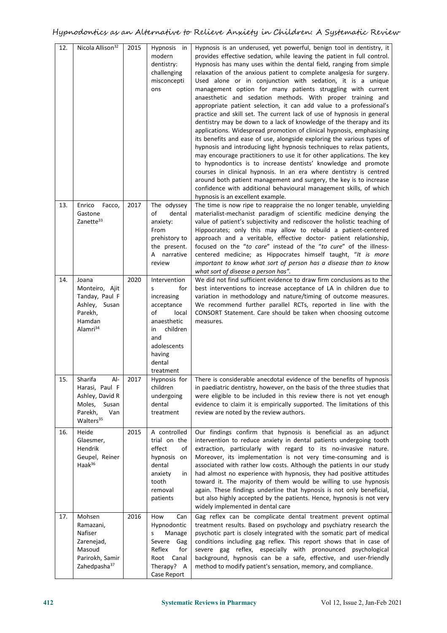| 12.<br>13. | Nicola Allison <sup>32</sup><br>Enrico Facco,                                                                     | 2015<br>2017 | Hypnosis in<br>modern<br>dentistry:<br>challenging<br>misconcepti<br>ons<br>The odyssey                                                                      | Hypnosis is an underused, yet powerful, benign tool in dentistry, it<br>provides effective sedation, while leaving the patient in full control.<br>Hypnosis has many uses within the dental field, ranging from simple<br>relaxation of the anxious patient to complete analgesia for surgery.<br>Used alone or in conjunction with sedation, it is a unique<br>management option for many patients struggling with current<br>anaesthetic and sedation methods. With proper training and<br>appropriate patient selection, it can add value to a professional's<br>practice and skill set. The current lack of use of hypnosis in general<br>dentistry may be down to a lack of knowledge of the therapy and its<br>applications. Widespread promotion of clinical hypnosis, emphasising<br>its benefits and ease of use, alongside exploring the various types of<br>hypnosis and introducing light hypnosis techniques to relax patients,<br>may encourage practitioners to use it for other applications. The key<br>to hypnodontics is to increase dentists' knowledge and promote<br>courses in clinical hypnosis. In an era where dentistry is centred<br>around both patient management and surgery, the key is to increase<br>confidence with additional behavioural management skills, of which<br>hypnosis is an excellent example.<br>The time is now ripe to reappraise the no longer tenable, unyielding |
|------------|-------------------------------------------------------------------------------------------------------------------|--------------|--------------------------------------------------------------------------------------------------------------------------------------------------------------|------------------------------------------------------------------------------------------------------------------------------------------------------------------------------------------------------------------------------------------------------------------------------------------------------------------------------------------------------------------------------------------------------------------------------------------------------------------------------------------------------------------------------------------------------------------------------------------------------------------------------------------------------------------------------------------------------------------------------------------------------------------------------------------------------------------------------------------------------------------------------------------------------------------------------------------------------------------------------------------------------------------------------------------------------------------------------------------------------------------------------------------------------------------------------------------------------------------------------------------------------------------------------------------------------------------------------------------------------------------------------------------------------------------------|
|            | Gastone<br>Zanette <sup>33</sup>                                                                                  |              | of<br>dental<br>anxiety:<br>From<br>prehistory to<br>the present.<br>A narrative<br>review                                                                   | materialist-mechanist paradigm of scientific medicine denying the<br>value of patient's subjectivity and rediscover the holistic teaching of<br>Hippocrates; only this may allow to rebuild a patient-centered<br>approach and a veritable, effective doctor- patient relationship,<br>focused on the "to care" instead of the "to cure" of the illness-<br>centered medicine; as Hippocrates himself taught, "It is more<br>important to know what sort of person has a disease than to know<br>what sort of disease a person has".                                                                                                                                                                                                                                                                                                                                                                                                                                                                                                                                                                                                                                                                                                                                                                                                                                                                                   |
| 14.        | Joana<br>Monteiro, Ajit<br>Tanday, Paul F<br>Ashley, Susan<br>Parekh,<br>Hamdan<br>Alamri <sup>34</sup>           | 2020         | Intervention<br>for<br>s<br>increasing<br>acceptance<br>of<br>local<br>anaesthetic<br>children<br>in.<br>and<br>adolescents<br>having<br>dental<br>treatment | We did not find sufficient evidence to draw firm conclusions as to the<br>best interventions to increase acceptance of LA in children due to<br>variation in methodology and nature/timing of outcome measures.<br>We recommend further parallel RCTs, reported in line with the<br>CONSORT Statement. Care should be taken when choosing outcome<br>measures.                                                                                                                                                                                                                                                                                                                                                                                                                                                                                                                                                                                                                                                                                                                                                                                                                                                                                                                                                                                                                                                         |
| 15.        | Sharifa<br>Al-<br>Harasi, Paul F<br>Ashley, David R<br>Moles,<br>Susan<br>Parekh,<br>Van<br>Walters <sup>35</sup> | 2017         | Hypnosis for<br>children<br>undergoing<br>dental<br>treatment                                                                                                | There is considerable anecdotal evidence of the benefits of hypnosis<br>in paediatric dentistry, however, on the basis of the three studies that<br>were eligible to be included in this review there is not yet enough<br>evidence to claim it is empirically supported. The limitations of this<br>review are noted by the review authors.                                                                                                                                                                                                                                                                                                                                                                                                                                                                                                                                                                                                                                                                                                                                                                                                                                                                                                                                                                                                                                                                           |
| 16.        | Heide<br>Glaesmer,<br>Hendrik<br>Geupel, Reiner<br>Haak <sup>36</sup>                                             | 2015         | A controlled<br>trial on the<br>effect<br>οf<br>hypnosis on<br>dental<br>anxiety<br>in<br>tooth<br>removal<br>patients                                       | Our findings confirm that hypnosis is beneficial as an adjunct<br>intervention to reduce anxiety in dental patients undergoing tooth<br>extraction, particularly with regard to its no-invasive nature.<br>Moreover, its implementation is not very time-consuming and is<br>associated with rather low costs. Although the patients in our study<br>had almost no experience with hypnosis, they had positive attitudes<br>toward it. The majority of them would be willing to use hypnosis<br>again. These findings underline that hypnosis is not only beneficial,<br>but also highly accepted by the patients. Hence, hypnosis is not very<br>widely implemented in dental care                                                                                                                                                                                                                                                                                                                                                                                                                                                                                                                                                                                                                                                                                                                                    |
| 17.        | Mohsen<br>Ramazani,<br>Nafiser<br>Zarenejad,<br>Masoud<br>Parirokh, Samir<br>Zahedpasha <sup>37</sup>             | 2016         | How<br>Can<br>Hypnodontic<br>Manage<br>s<br>Severe Gag<br>Reflex<br>for<br>Root Canal<br>Therapy? A<br>Case Report                                           | Gag reflex can be complicate dental treatment prevent optimal<br>treatment results. Based on psychology and psychiatry research the<br>psychotic part is closely integrated with the somatic part of medical<br>conditions including gag reflex. This report shows that in case of<br>severe gag reflex, especially with pronounced psychological<br>background, hypnosis can be a safe, effective, and user-friendly<br>method to modify patient's sensation, memory, and compliance.                                                                                                                                                                                                                                                                                                                                                                                                                                                                                                                                                                                                                                                                                                                                                                                                                                                                                                                                 |